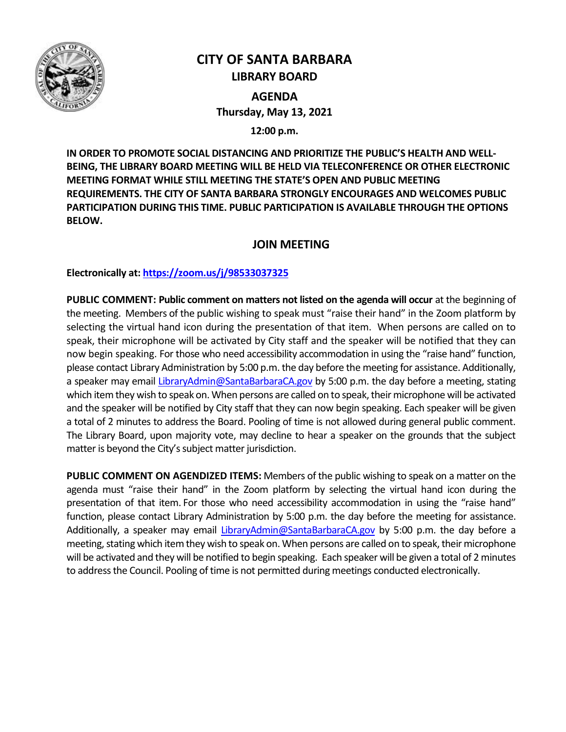

# **CITY OF SANTA BARBARA LIBRARY BOARD**

**AGENDA Thursday, May 13, 2021**

**12:00 p.m.**

**IN ORDER TO PROMOTE SOCIAL DISTANCING AND PRIORITIZE THE PUBLIC'S HEALTH AND WELL-BEING, THE LIBRARY BOARD MEETING WILL BE HELD VIA TELECONFERENCE OR OTHER ELECTRONIC MEETING FORMAT WHILE STILL MEETING THE STATE'S OPEN AND PUBLIC MEETING REQUIREMENTS. THE CITY OF SANTA BARBARA STRONGLY ENCOURAGES AND WELCOMES PUBLIC PARTICIPATION DURING THIS TIME. PUBLIC PARTICIPATION IS AVAILABLE THROUGH THE OPTIONS BELOW.**

# **JOIN MEETING**

**Electronically at[: https://zoom.us/j/98533037325](https://zoom.us/j/98533037325)**

**PUBLIC COMMENT: Public comment on matters not listed on the agenda will occur** at the beginning of the meeting. Members of the public wishing to speak must "raise their hand" in the Zoom platform by selecting the virtual hand icon during the presentation of that item. When persons are called on to speak, their microphone will be activated by City staff and the speaker will be notified that they can now begin speaking. For those who need accessibility accommodation in using the "raise hand" function, please contact Library Administration by 5:00 p.m. the day before the meeting for assistance. Additionally, a speaker may email [LibraryAdmin@SantaBarbaraCA.gov](mailto:LibraryAdmin@SantaBarbaraCA.gov) by 5:00 p.m. the day before a meeting, stating which item they wish to speak on. When persons are called on to speak, their microphone will be activated and the speaker will be notified by City staff that they can now begin speaking. Each speaker will be given a total of 2 minutes to address the Board. Pooling of time is not allowed during general public comment. The Library Board, upon majority vote, may decline to hear a speaker on the grounds that the subject matter is beyond the City's subject matter jurisdiction.

**PUBLIC COMMENT ON AGENDIZED ITEMS:** Members of the public wishing to speak on a matter on the agenda must "raise their hand" in the Zoom platform by selecting the virtual hand icon during the presentation of that item. For those who need accessibility accommodation in using the "raise hand" function, please contact Library Administration by 5:00 p.m. the day before the meeting for assistance. Additionally, a speaker may email [LibraryAdmin@SantaBarbaraCA.gov](mailto:LibraryAdmin@SantaBarbaraCA.gov) by 5:00 p.m. the day before a meeting, stating which item they wish to speak on. When persons are called on to speak, their microphone will be activated and they will be notified to begin speaking. Each speaker will be given a total of 2 minutes to address the Council. Pooling of time is not permitted during meetings conducted electronically.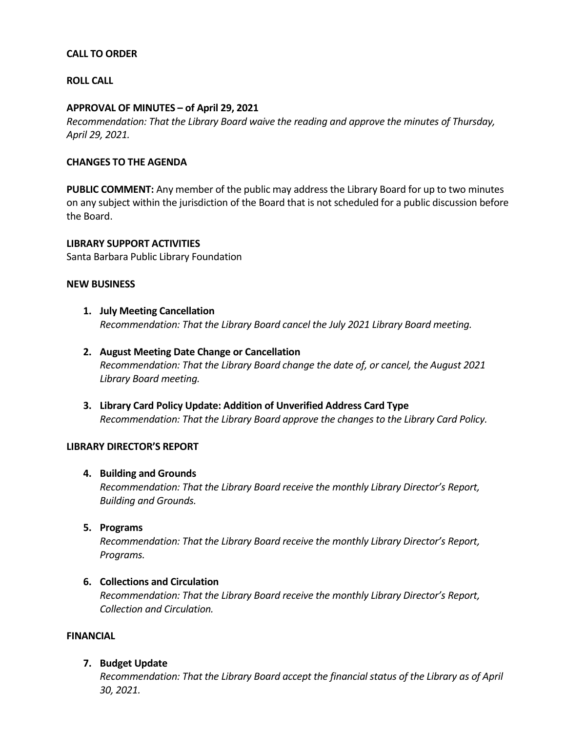# **CALL TO ORDER**

# **ROLL CALL**

#### **APPROVAL OF MINUTES – of April 29, 2021**

*Recommendation: That the Library Board waive the reading and approve the minutes of Thursday, April 29, 2021.*

# **CHANGES TO THE AGENDA**

**PUBLIC COMMENT:** Any member of the public may address the Library Board for up to two minutes on any subject within the jurisdiction of the Board that is not scheduled for a public discussion before the Board.

**LIBRARY SUPPORT ACTIVITIES** Santa Barbara Public Library Foundation

#### **NEW BUSINESS**

- **1. July Meeting Cancellation** *Recommendation: That the Library Board cancel the July 2021 Library Board meeting.*
- **2. August Meeting Date Change or Cancellation** *Recommendation: That the Library Board change the date of, or cancel, the August 2021 Library Board meeting.*
- **3. Library Card Policy Update: Addition of Unverified Address Card Type** *Recommendation: That the Library Board approve the changes to the Library Card Policy.*

#### **LIBRARY DIRECTOR'S REPORT**

#### **4. Building and Grounds**

*Recommendation: That the Library Board receive the monthly Library Director's Report, Building and Grounds.*

**5. Programs**

*Recommendation: That the Library Board receive the monthly Library Director's Report, Programs.*

#### **6. Collections and Circulation**

*Recommendation: That the Library Board receive the monthly Library Director's Report, Collection and Circulation.*

# **FINANCIAL**

#### **7. Budget Update**

*Recommendation: That the Library Board accept the financial status of the Library as of April 30, 2021.*